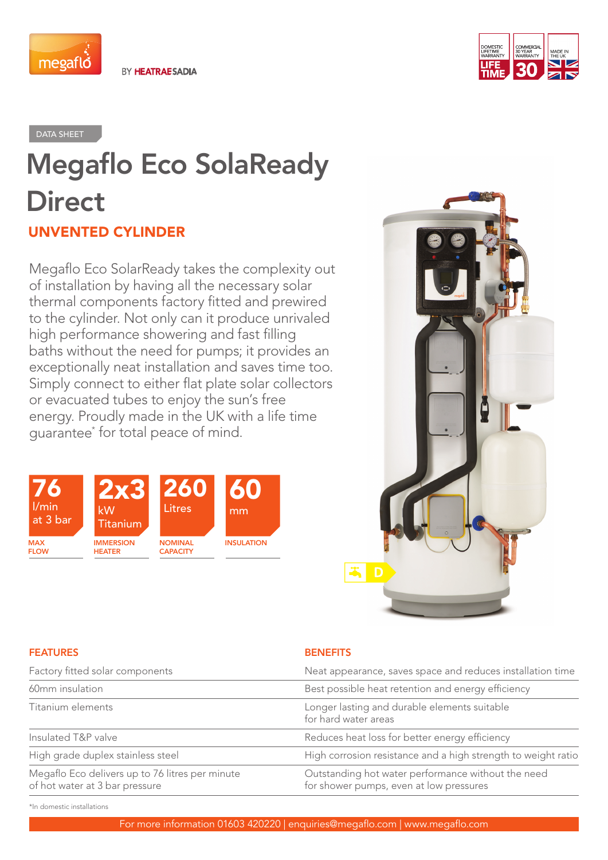

BY HEATRAESADIA



DATA SHEET

# Megaflo Eco SolaReady **Direct** UNVENTED CYLINDER

Megaflo Eco SolarReady takes the complexity out of installation by having all the necessary solar thermal components factory fitted and prewired to the cylinder. Not only can it produce unrivaled high performance showering and fast filling baths without the need for pumps; it provides an exceptionally neat installation and saves time too. Simply connect to either flat plate solar collectors or evacuated tubes to enjoy the sun's free energy. Proudly made in the UK with a life time guarantee\* for total peace of mind.





### FEATURES **BENEFITS**

| Factory fitted solar components                                                   | Neat appearance, saves space and reduces installation time                                    |  |
|-----------------------------------------------------------------------------------|-----------------------------------------------------------------------------------------------|--|
| 60mm insulation                                                                   | Best possible heat retention and energy efficiency                                            |  |
| Titanium elements                                                                 | Longer lasting and durable elements suitable<br>for hard water areas                          |  |
| Insulated T&P valve                                                               | Reduces heat loss for better energy efficiency                                                |  |
| High grade duplex stainless steel                                                 | High corrosion resistance and a high strength to weight ratio                                 |  |
| Megaflo Eco delivers up to 76 litres per minute<br>of hot water at 3 bar pressure | Outstanding hot water performance without the need<br>for shower pumps, even at low pressures |  |

\*In domestic installations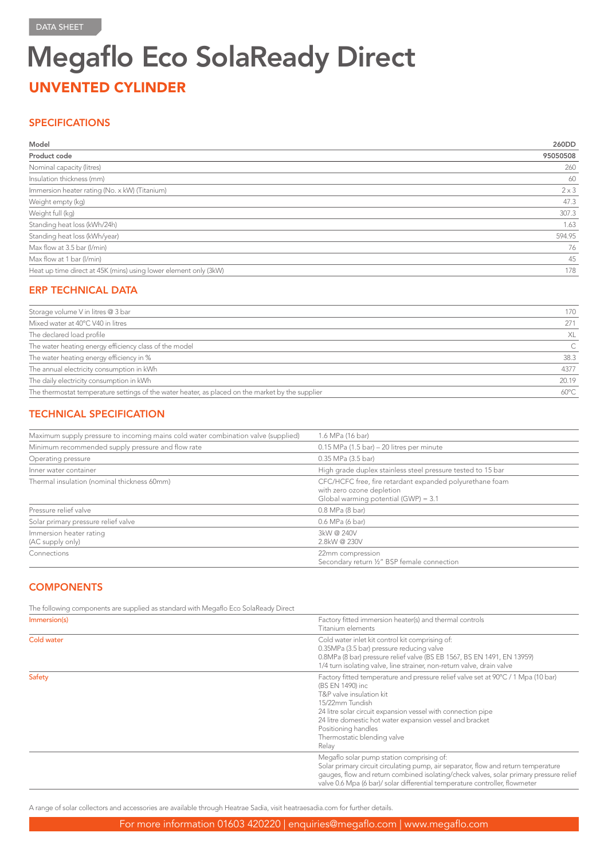## Megaflo Eco SolaReady Direct UNVENTED CYLINDER

### **SPECIFICATIONS**

| Model                                                            | 260DD        |
|------------------------------------------------------------------|--------------|
| Product code                                                     | 95050508     |
| Nominal capacity (litres)                                        | 260          |
| Insulation thickness (mm)                                        | 60           |
| Immersion heater rating (No. x kW) (Titanium)                    | $2 \times 3$ |
| Weight empty (kg)                                                | 47.3         |
| Weight full (kg)                                                 | 307.3        |
| Standing heat loss (kWh/24h)                                     | 1.63         |
| Standing heat loss (kWh/year)                                    | 594.95       |
| Max flow at 3.5 bar (I/min)                                      | 76           |
| Max flow at 1 bar (I/min)                                        | 45           |
| Heat up time direct at 45K (mins) using lower element only (3kW) | 178          |

## ERP TECHNICAL DATA

| Storage volume V in litres @ 3 bar                                                               | 170            |
|--------------------------------------------------------------------------------------------------|----------------|
| Mixed water at 40°C V40 in litres                                                                | 271            |
| The declared load profile                                                                        | XL             |
| The water heating energy efficiency class of the model                                           |                |
| The water heating energy efficiency in %                                                         | 38.3           |
| The annual electricity consumption in kWh                                                        | 4377           |
| The daily electricity consumption in kWh                                                         | 20.19          |
| The thermostat temperature settings of the water heater, as placed on the market by the supplier | $60^{\circ}$ C |
|                                                                                                  |                |

## TECHNICAL SPECIFICATION

| Maximum supply pressure to incoming mains cold water combination valve (supplied) | 1.6 MPa (16 bar)                                                                                                              |
|-----------------------------------------------------------------------------------|-------------------------------------------------------------------------------------------------------------------------------|
| Minimum recommended supply pressure and flow rate                                 | $0.15$ MPa (1.5 bar) – 20 litres per minute                                                                                   |
| Operating pressure                                                                | 0.35 MPa (3.5 bar)                                                                                                            |
| Inner water container                                                             | High grade duplex stainless steel pressure tested to 15 bar                                                                   |
| Thermal insulation (nominal thickness 60mm)                                       | CFC/HCFC free, fire retardant expanded polyurethane foam<br>with zero ozone depletion<br>Global warming potential (GWP) = 3.1 |
| Pressure relief valve                                                             | 0.8 MPa (8 bar)                                                                                                               |
| Solar primary pressure relief valve                                               | 0.6 MPa (6 bar)                                                                                                               |
| Immersion heater rating<br>(AC supply only)                                       | 3kW @ 240V<br>2.8kW@230V                                                                                                      |
| Connections                                                                       | 22mm compression<br>Secondary return 1/2" BSP female connection                                                               |

## **COMPONENTS**

The following components are supplied as standard with Megaflo Eco SolaReady Direct

| Immersion(s) | Factory fitted immersion heater(s) and thermal controls<br>Titanium elements                                                                                                                                                                                                                                                                    |
|--------------|-------------------------------------------------------------------------------------------------------------------------------------------------------------------------------------------------------------------------------------------------------------------------------------------------------------------------------------------------|
| Cold water   | Cold water inlet kit control kit comprising of:<br>0.35MPa (3.5 bar) pressure reducing valve<br>0.8MPa (8 bar) pressure relief valve (BS EB 1567, BS EN 1491, EN 13959)<br>1/4 turn isolating valve, line strainer, non-return valve, drain valve                                                                                               |
| Safety       | Factory fitted temperature and pressure relief valve set at 90°C / 1 Mpa (10 bar)<br>(BS EN 1490) inc<br>T&P valve insulation kit<br>15/22mm Tundish<br>24 litre solar circuit expansion vessel with connection pipe<br>24 litre domestic hot water expansion vessel and bracket<br>Positioning handles<br>Thermostatic blending valve<br>Relay |
|              | Megaflo solar pump station comprising of:<br>Solar primary circuit circulating pump, air separator, flow and return temperature<br>gauges, flow and return combined isolating/check valves, solar primary pressure relief<br>valve 0.6 Mpa (6 bar)/ solar differential temperature controller, flowmeter                                        |

A range of solar collectors and accessories are available through Heatrae Sadia, visit heatraesadia.com for further details.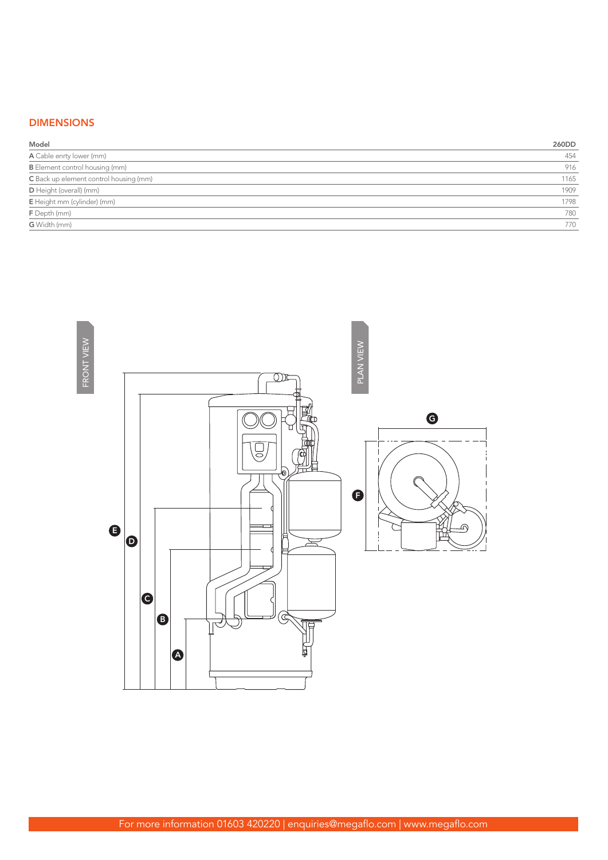## DIMENSIONS

| Model                                  | 260DD |
|----------------------------------------|-------|
| A Cable enrty lower (mm)               | 454   |
| <b>B</b> Element control housing (mm)  | 916   |
| C Back up element control housing (mm) | 1165  |
| D Height (overall) (mm)                | 1909  |
| E Height mm (cylinder) (mm)            | 1798  |
| F Depth (mm)                           | 780   |
| <b>G</b> Width (mm)                    | 770   |